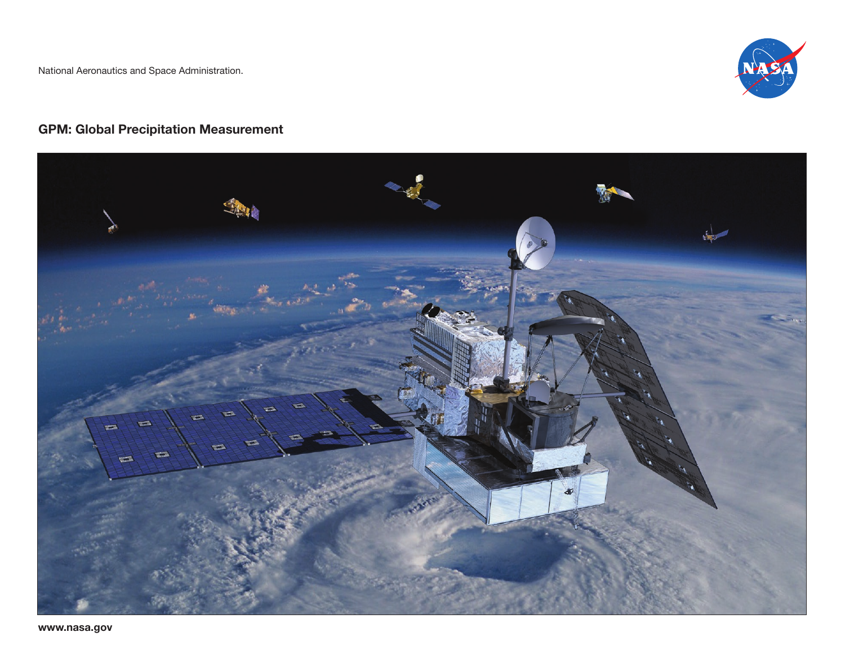

# GPM: Global Precipitation Measurement